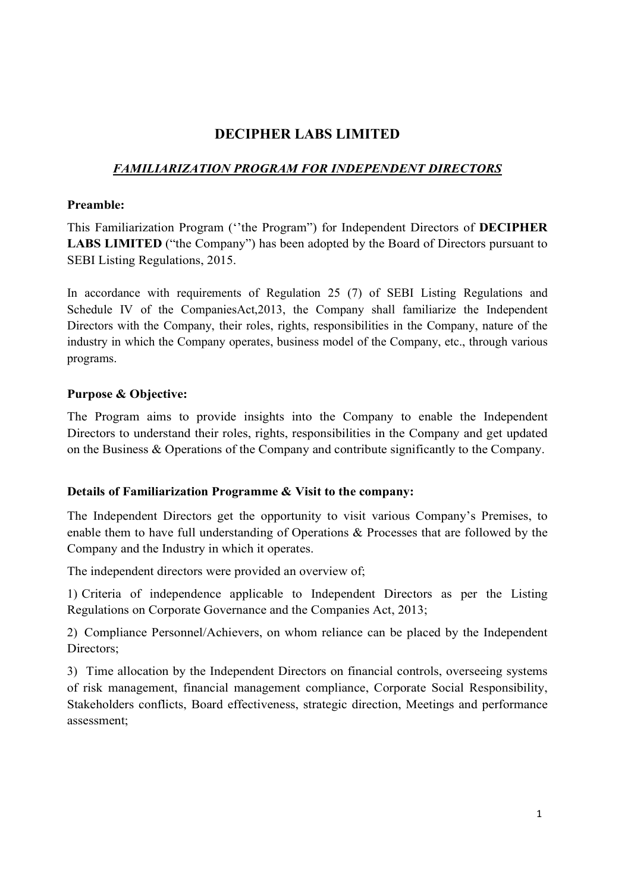# DECIPHER LABS LIMITED

## FAMILIARIZATION PROGRAM FOR INDEPENDENT DIRECTORS

#### Preamble:

This Familiarization Program (''the Program") for Independent Directors of DECIPHER LABS LIMITED ("the Company") has been adopted by the Board of Directors pursuant to SEBI Listing Regulations, 2015.

In accordance with requirements of Regulation 25 (7) of SEBI Listing Regulations and Schedule IV of the CompaniesAct,2013, the Company shall familiarize the Independent Directors with the Company, their roles, rights, responsibilities in the Company, nature of the industry in which the Company operates, business model of the Company, etc., through various programs.

### Purpose & Objective:

The Program aims to provide insights into the Company to enable the Independent Directors to understand their roles, rights, responsibilities in the Company and get updated on the Business & Operations of the Company and contribute significantly to the Company.

#### Details of Familiarization Programme & Visit to the company:

The Independent Directors get the opportunity to visit various Company's Premises, to enable them to have full understanding of Operations & Processes that are followed by the Company and the Industry in which it operates.

The independent directors were provided an overview of;

1) Criteria of independence applicable to Independent Directors as per the Listing Regulations on Corporate Governance and the Companies Act, 2013;

2) Compliance Personnel/Achievers, on whom reliance can be placed by the Independent Directors;

3) Time allocation by the Independent Directors on financial controls, overseeing systems of risk management, financial management compliance, Corporate Social Responsibility, Stakeholders conflicts, Board effectiveness, strategic direction, Meetings and performance assessment;